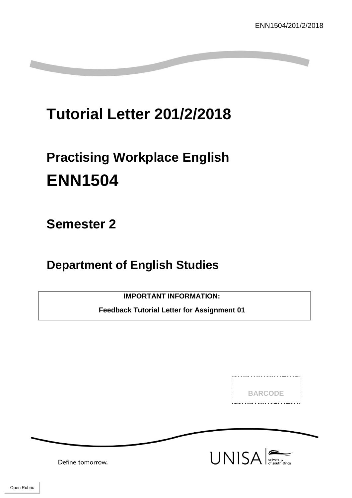# **Tutorial Letter 201/2/2018**

# **Practising Workplace English ENN1504**

**Semester 2**

**Department of English Studies**

**IMPORTANT INFORMATION:**

**Feedback Tutorial Letter for Assignment 01**

**BARCODE** 



Define tomorrow.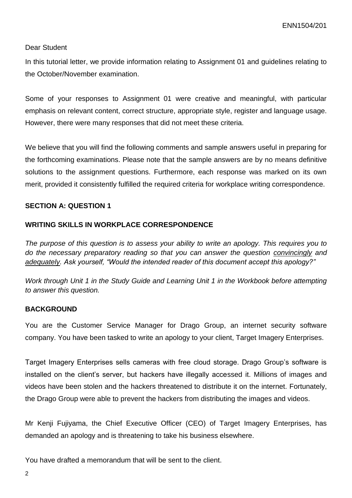### Dear Student

In this tutorial letter, we provide information relating to Assignment 01 and guidelines relating to the October/November examination.

Some of your responses to Assignment 01 were creative and meaningful, with particular emphasis on relevant content, correct structure, appropriate style, register and language usage. However, there were many responses that did not meet these criteria.

We believe that you will find the following comments and sample answers useful in preparing for the forthcoming examinations. Please note that the sample answers are by no means definitive solutions to the assignment questions. Furthermore, each response was marked on its own merit, provided it consistently fulfilled the required criteria for workplace writing correspondence.

# **SECTION A: QUESTION 1**

# **WRITING SKILLS IN WORKPLACE CORRESPONDENCE**

*The purpose of this question is to assess your ability to write an apology. This requires you to do the necessary preparatory reading so that you can answer the question convincingly and adequately. Ask yourself, "Would the intended reader of this document accept this apology?"*

*Work through Unit 1 in the Study Guide and Learning Unit 1 in the Workbook before attempting to answer this question.*

# **BACKGROUND**

You are the Customer Service Manager for Drago Group, an internet security software company. You have been tasked to write an apology to your client, Target Imagery Enterprises.

Target Imagery Enterprises sells cameras with free cloud storage. Drago Group's software is installed on the client's server, but hackers have illegally accessed it. Millions of images and videos have been stolen and the hackers threatened to distribute it on the internet. Fortunately, the Drago Group were able to prevent the hackers from distributing the images and videos.

Mr Kenji Fujiyama, the Chief Executive Officer (CEO) of Target Imagery Enterprises, has demanded an apology and is threatening to take his business elsewhere.

You have drafted a memorandum that will be sent to the client.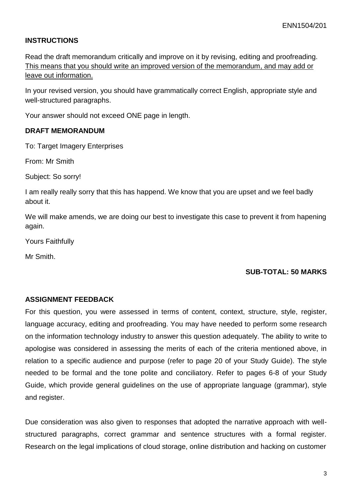# **INSTRUCTIONS**

Read the draft memorandum critically and improve on it by revising, editing and proofreading. This means that you should write an improved version of the memorandum, and may add or leave out information.

In your revised version, you should have grammatically correct English, appropriate style and well-structured paragraphs.

Your answer should not exceed ONE page in length.

#### **DRAFT MEMORANDUM**

To: Target Imagery Enterprises

From: Mr Smith

Subject: So sorry!

I am really really sorry that this has happend. We know that you are upset and we feel badly about it.

We will make amends, we are doing our best to investigate this case to prevent it from hapening again.

Yours Faithfully

Mr Smith.

#### **SUB-TOTAL: 50 MARKS**

#### **ASSIGNMENT FEEDBACK**

For this question, you were assessed in terms of content, context, structure, style, register, language accuracy, editing and proofreading. You may have needed to perform some research on the information technology industry to answer this question adequately. The ability to write to apologise was considered in assessing the merits of each of the criteria mentioned above, in relation to a specific audience and purpose (refer to page 20 of your Study Guide). The style needed to be formal and the tone polite and conciliatory. Refer to pages 6-8 of your Study Guide, which provide general guidelines on the use of appropriate language (grammar), style and register.

Due consideration was also given to responses that adopted the narrative approach with wellstructured paragraphs, correct grammar and sentence structures with a formal register. Research on the legal implications of cloud storage, online distribution and hacking on customer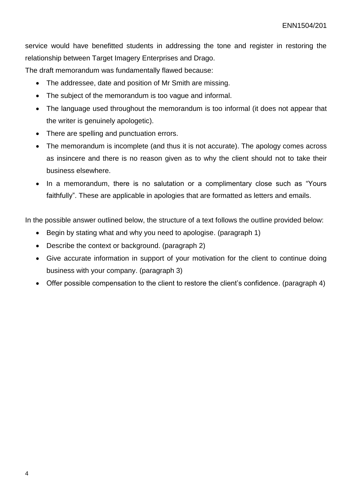service would have benefitted students in addressing the tone and register in restoring the relationship between Target Imagery Enterprises and Drago.

The draft memorandum was fundamentally flawed because:

- The addressee, date and position of Mr Smith are missing.
- The subject of the memorandum is too vaque and informal.
- The language used throughout the memorandum is too informal (it does not appear that the writer is genuinely apologetic).
- There are spelling and punctuation errors.
- The memorandum is incomplete (and thus it is not accurate). The apology comes across as insincere and there is no reason given as to why the client should not to take their business elsewhere.
- In a memorandum, there is no salutation or a complimentary close such as "Yours" faithfully". These are applicable in apologies that are formatted as letters and emails.

In the possible answer outlined below, the structure of a text follows the outline provided below:

- Begin by stating what and why you need to apologise. (paragraph 1)
- Describe the context or background. (paragraph 2)
- Give accurate information in support of your motivation for the client to continue doing business with your company. (paragraph 3)
- Offer possible compensation to the client to restore the client's confidence. (paragraph 4)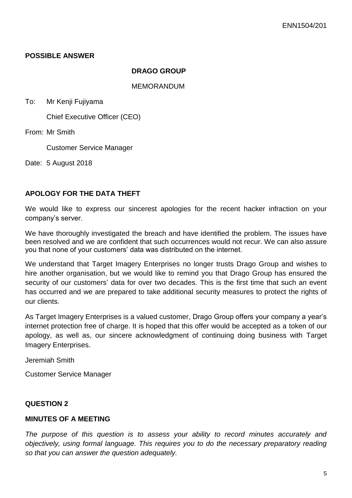# **POSSIBLE ANSWER**

#### **DRAGO GROUP**

#### MEMORANDUM

To: Mr Kenji Fujiyama

Chief Executive Officer (CEO)

From: Mr Smith

Customer Service Manager

Date: 5 August 2018

# **APOLOGY FOR THE DATA THEFT**

We would like to express our sincerest apologies for the recent hacker infraction on your company's server.

We have thoroughly investigated the breach and have identified the problem. The issues have been resolved and we are confident that such occurrences would not recur. We can also assure you that none of your customers' data was distributed on the internet.

We understand that Target Imagery Enterprises no longer trusts Drago Group and wishes to hire another organisation, but we would like to remind you that Drago Group has ensured the security of our customers' data for over two decades. This is the first time that such an event has occurred and we are prepared to take additional security measures to protect the rights of our clients.

As Target Imagery Enterprises is a valued customer, Drago Group offers your company a year's internet protection free of charge. It is hoped that this offer would be accepted as a token of our apology, as well as, our sincere acknowledgment of continuing doing business with Target Imagery Enterprises.

Jeremiah Smith

Customer Service Manager

#### **QUESTION 2**

# **MINUTES OF A MEETING**

*The purpose of this question is to assess your ability to record minutes accurately and objectively, using formal language. This requires you to do the necessary preparatory reading so that you can answer the question adequately.*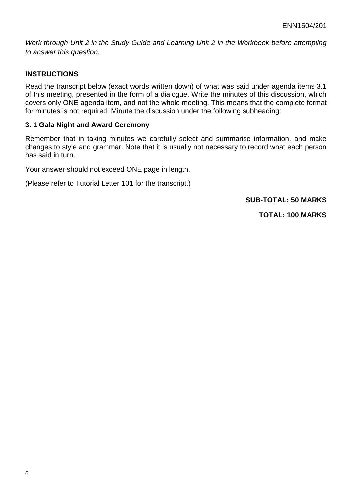*Work through Unit 2 in the Study Guide and Learning Unit 2 in the Workbook before attempting to answer this question.*

# **INSTRUCTIONS**

Read the transcript below (exact words written down) of what was said under agenda items 3.1 of this meeting, presented in the form of a dialogue. Write the minutes of this discussion, which covers only ONE agenda item, and not the whole meeting. This means that the complete format for minutes is not required. Minute the discussion under the following subheading:

#### **3. 1 Gala Night and Award Ceremony**

Remember that in taking minutes we carefully select and summarise information, and make changes to style and grammar. Note that it is usually not necessary to record what each person has said in turn.

Your answer should not exceed ONE page in length.

(Please refer to Tutorial Letter 101 for the transcript.)

### **SUB-TOTAL: 50 MARKS**

**TOTAL: 100 MARKS**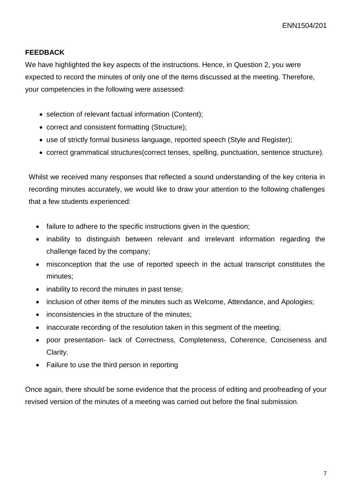# **FEEDBACK**

We have highlighted the key aspects of the instructions. Hence, in Question 2, you were expected to record the minutes of only one of the items discussed at the meeting. Therefore, your competencies in the following were assessed:

- selection of relevant factual information (Content);
- correct and consistent formatting (Structure);
- use of strictly formal business language, reported speech (Style and Register);
- correct grammatical structures(correct tenses, spelling, punctuation, sentence structure).

Whilst we received many responses that reflected a sound understanding of the key criteria in recording minutes accurately, we would like to draw your attention to the following challenges that a few students experienced:

- failure to adhere to the specific instructions given in the question;
- inability to distinguish between relevant and irrelevant information regarding the challenge faced by the company;
- misconception that the use of reported speech in the actual transcript constitutes the minutes;
- inability to record the minutes in past tense;
- inclusion of other items of the minutes such as Welcome, Attendance, and Apologies:
- inconsistencies in the structure of the minutes:
- inaccurate recording of the resolution taken in this segment of the meeting;
- poor presentation- lack of Correctness, Completeness, Coherence, Conciseness and Clarity.
- Failure to use the third person in reporting

Once again, there should be some evidence that the process of editing and proofreading of your revised version of the minutes of a meeting was carried out before the final submission.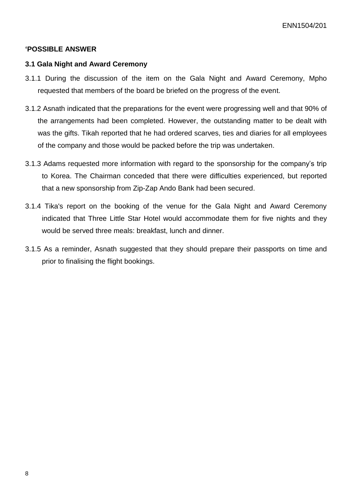### **'POSSIBLE ANSWER**

#### **3.1 Gala Night and Award Ceremony**

- 3.1.1 During the discussion of the item on the Gala Night and Award Ceremony, Mpho requested that members of the board be briefed on the progress of the event.
- 3.1.2 Asnath indicated that the preparations for the event were progressing well and that 90% of the arrangements had been completed. However, the outstanding matter to be dealt with was the gifts. Tikah reported that he had ordered scarves, ties and diaries for all employees of the company and those would be packed before the trip was undertaken.
- 3.1.3 Adams requested more information with regard to the sponsorship for the company's trip to Korea. The Chairman conceded that there were difficulties experienced, but reported that a new sponsorship from Zip-Zap Ando Bank had been secured.
- 3.1.4 Tika's report on the booking of the venue for the Gala Night and Award Ceremony indicated that Three Little Star Hotel would accommodate them for five nights and they would be served three meals: breakfast, lunch and dinner.
- 3.1.5 As a reminder, Asnath suggested that they should prepare their passports on time and prior to finalising the flight bookings.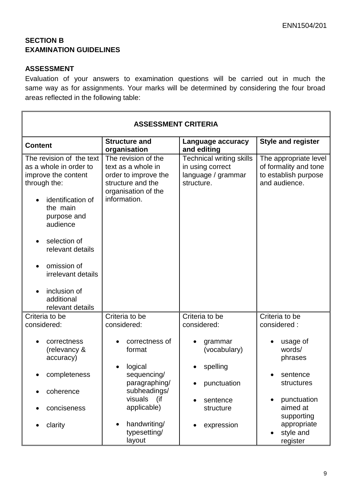$\blacksquare$ 

# **SECTION B EXAMINATION GUIDELINES**

# **ASSESSMENT**

Evaluation of your answers to examination questions will be carried out in much the same way as for assignments. Your marks will be determined by considering the four broad areas reflected in the following table:

| <b>ASSESSMENT CRITERIA</b>                                                                                                                                                                                                                                                       |                                                                                                                                                   |                                                                                           |                                                                                                                              |
|----------------------------------------------------------------------------------------------------------------------------------------------------------------------------------------------------------------------------------------------------------------------------------|---------------------------------------------------------------------------------------------------------------------------------------------------|-------------------------------------------------------------------------------------------|------------------------------------------------------------------------------------------------------------------------------|
| <b>Content</b>                                                                                                                                                                                                                                                                   | <b>Structure and</b><br>organisation                                                                                                              | Language accuracy<br>and editing                                                          | <b>Style and register</b>                                                                                                    |
| The revision of the text<br>as a whole in order to<br>improve the content<br>through the:<br>identification of<br>the main<br>purpose and<br>audience<br>selection of<br>relevant details<br>omission of<br>irrelevant details<br>inclusion of<br>additional<br>relevant details | The revision of the<br>text as a whole in<br>order to improve the<br>structure and the<br>organisation of the<br>information.                     | <b>Technical writing skills</b><br>in using correct<br>language / grammar<br>structure.   | The appropriate level<br>of formality and tone<br>to establish purpose<br>and audience.                                      |
| Criteria to be<br>considered:                                                                                                                                                                                                                                                    | Criteria to be<br>considered:                                                                                                                     | Criteria to be<br>considered:                                                             | Criteria to be<br>considered:                                                                                                |
| correctness<br>(relevancy &<br>accuracy)<br>completeness<br>coherence<br>conciseness<br>clarity                                                                                                                                                                                  | correctness of<br>format<br>logical<br>sequencing/<br>paragraphing/<br>subheadings/<br>visuals<br>(if<br>applicable)<br>handwriting/<br>$\bullet$ | grammar<br>(vocabulary)<br>spelling<br>punctuation<br>sentence<br>structure<br>expression | usage of<br>words/<br>phrases<br>sentence<br>structures<br>punctuation<br>$\bullet$<br>aimed at<br>supporting<br>appropriate |
|                                                                                                                                                                                                                                                                                  | typesetting/<br>layout                                                                                                                            |                                                                                           | style and<br>register                                                                                                        |